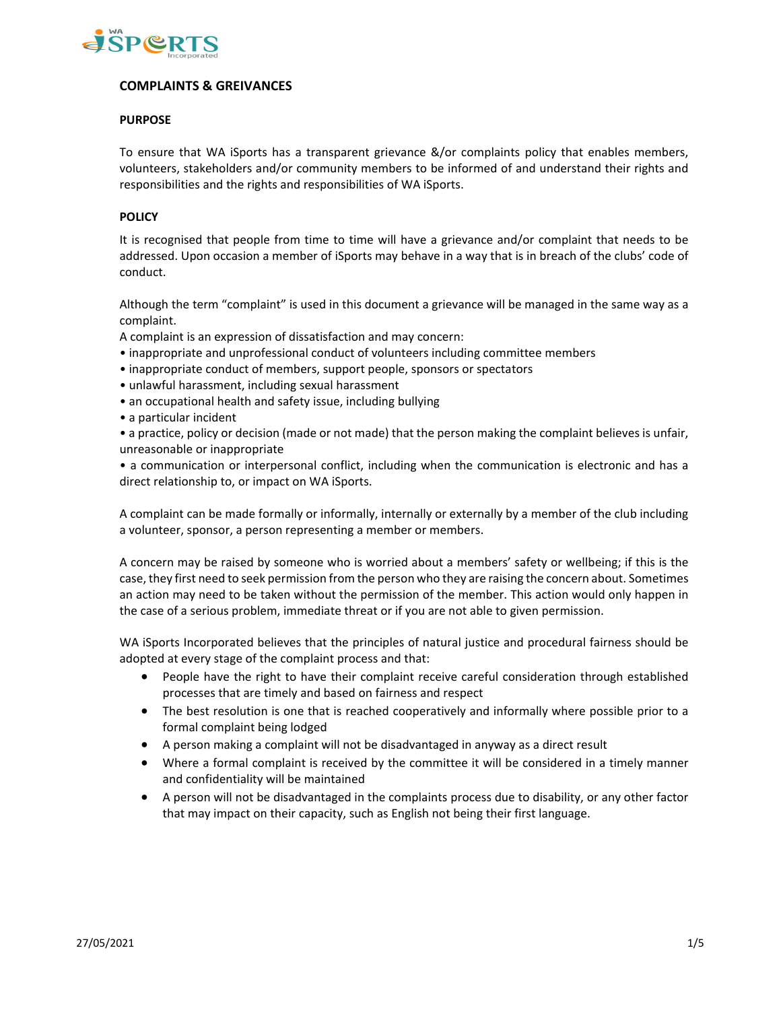

# **COMPLAINTS & GREIVANCES**

## **PURPOSE**

To ensure that WA iSports has a transparent grievance &/or complaints policy that enables members, volunteers, stakeholders and/or community members to be informed of and understand their rights and responsibilities and the rights and responsibilities of WA iSports.

#### **POLICY**

It is recognised that people from time to time will have a grievance and/or complaint that needs to be addressed. Upon occasion a member of iSports may behave in a way that is in breach of the clubs' code of conduct.

Although the term "complaint" is used in this document a grievance will be managed in the same way as a complaint.

A complaint is an expression of dissatisfaction and may concern:

- inappropriate and unprofessional conduct of volunteers including committee members
- inappropriate conduct of members, support people, sponsors or spectators
- unlawful harassment, including sexual harassment
- an occupational health and safety issue, including bullying
- a particular incident

• a practice, policy or decision (made or not made) that the person making the complaint believes is unfair, unreasonable or inappropriate

• a communication or interpersonal conflict, including when the communication is electronic and has a direct relationship to, or impact on WA iSports.

A complaint can be made formally or informally, internally or externally by a member of the club including a volunteer, sponsor, a person representing a member or members.

A concern may be raised by someone who is worried about a members' safety or wellbeing; if this is the case, they first need to seek permission from the person who they are raising the concern about. Sometimes an action may need to be taken without the permission of the member. This action would only happen in the case of a serious problem, immediate threat or if you are not able to given permission.

WA iSports Incorporated believes that the principles of natural justice and procedural fairness should be adopted at every stage of the complaint process and that:

- People have the right to have their complaint receive careful consideration through established processes that are timely and based on fairness and respect
- The best resolution is one that is reached cooperatively and informally where possible prior to a formal complaint being lodged
- A person making a complaint will not be disadvantaged in anyway as a direct result
- Where a formal complaint is received by the committee it will be considered in a timely manner and confidentiality will be maintained
- A person will not be disadvantaged in the complaints process due to disability, or any other factor that may impact on their capacity, such as English not being their first language.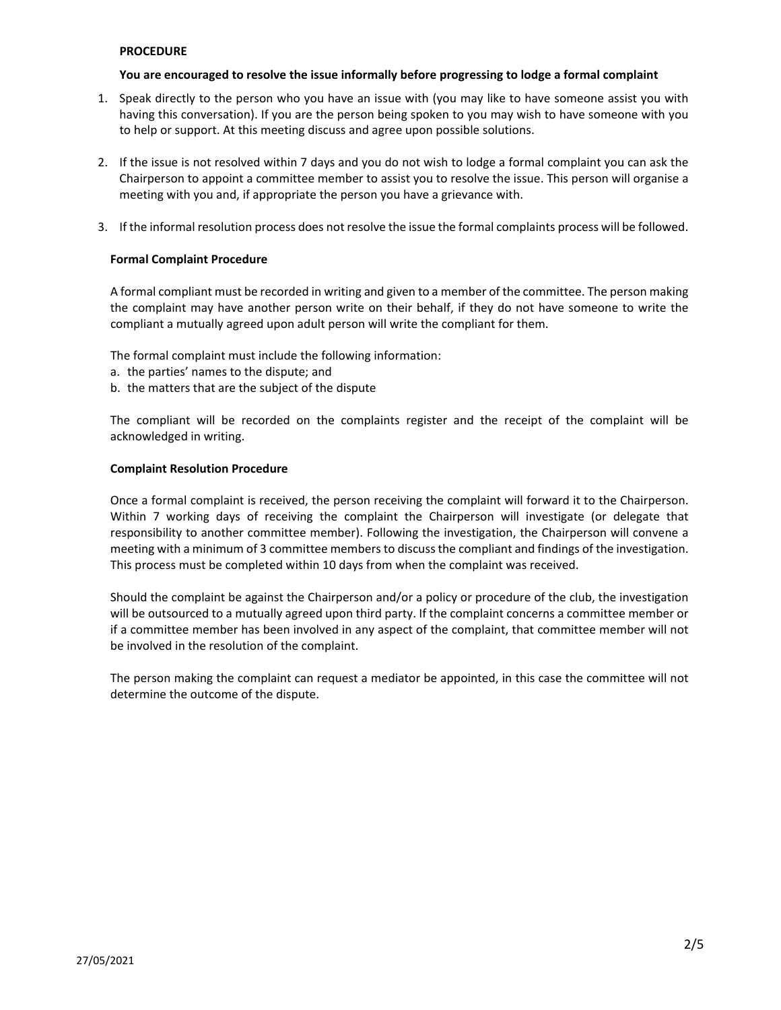#### **PROCEDURE**

#### **You are encouraged to resolve the issue informally before progressing to lodge a formal complaint**

- 1. Speak directly to the person who you have an issue with (you may like to have someone assist you with having this conversation). If you are the person being spoken to you may wish to have someone with you to help or support. At this meeting discuss and agree upon possible solutions.
- 2. If the issue is not resolved within 7 days and you do not wish to lodge a formal complaint you can ask the Chairperson to appoint a committee member to assist you to resolve the issue. This person will organise a meeting with you and, if appropriate the person you have a grievance with.
- 3. If the informal resolution process does not resolve the issue the formal complaints process will be followed.

## **Formal Complaint Procedure**

A formal compliant must be recorded in writing and given to a member of the committee. The person making the complaint may have another person write on their behalf, if they do not have someone to write the compliant a mutually agreed upon adult person will write the compliant for them.

The formal complaint must include the following information:

- a. the parties' names to the dispute; and
- b. the matters that are the subject of the dispute

The compliant will be recorded on the complaints register and the receipt of the complaint will be acknowledged in writing.

## **Complaint Resolution Procedure**

Once a formal complaint is received, the person receiving the complaint will forward it to the Chairperson. Within 7 working days of receiving the complaint the Chairperson will investigate (or delegate that responsibility to another committee member). Following the investigation, the Chairperson will convene a meeting with a minimum of 3 committee members to discuss the compliant and findings of the investigation. This process must be completed within 10 days from when the complaint was received.

Should the complaint be against the Chairperson and/or a policy or procedure of the club, the investigation will be outsourced to a mutually agreed upon third party. If the complaint concerns a committee member or if a committee member has been involved in any aspect of the complaint, that committee member will not be involved in the resolution of the complaint.

The person making the complaint can request a mediator be appointed, in this case the committee will not determine the outcome of the dispute.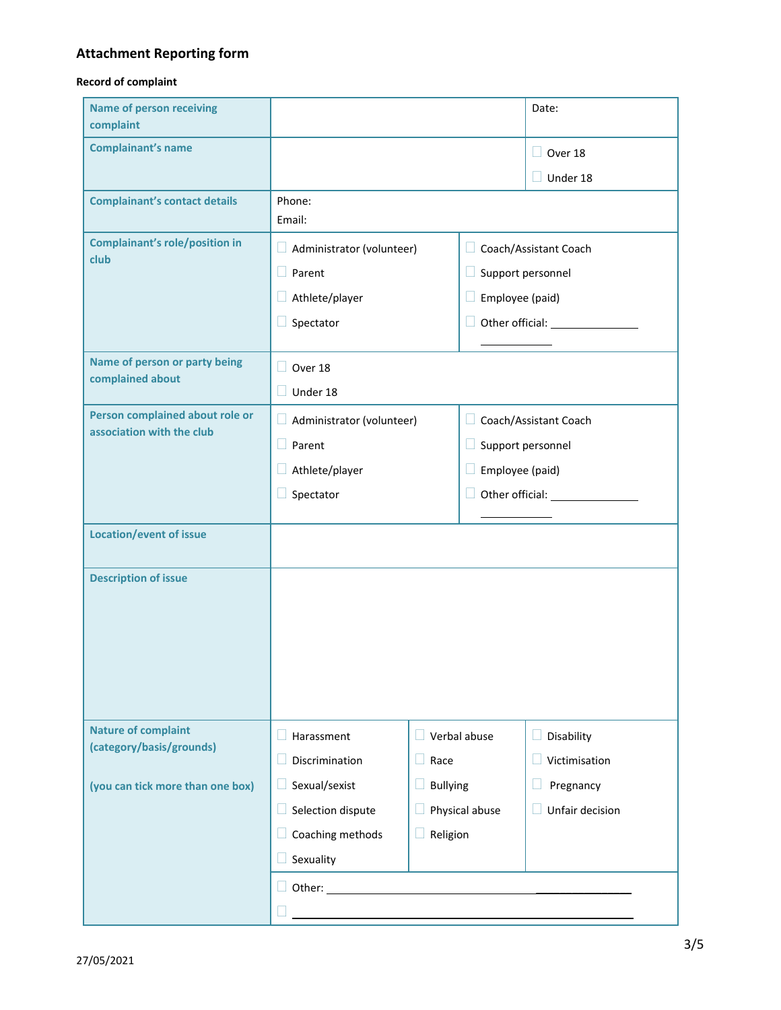# **Attachment Reporting form**

## **Record of complaint**

| <b>Name of person receiving</b><br>complaint           |                                                                                    |                      | Date:                       |                 |  |
|--------------------------------------------------------|------------------------------------------------------------------------------------|----------------------|-----------------------------|-----------------|--|
| <b>Complainant's name</b>                              |                                                                                    |                      |                             | $\Box$ Over 18  |  |
|                                                        |                                                                                    |                      |                             | $\Box$ Under 18 |  |
| <b>Complainant's contact details</b>                   | Phone:<br>Email:                                                                   |                      |                             |                 |  |
| <b>Complainant's role/position in</b>                  | Ш<br>$\Box$ Administrator (volunteer)<br>$\Box$ Parent<br>Н<br>Athlete/player<br>н |                      | Coach/Assistant Coach       |                 |  |
| club                                                   |                                                                                    |                      | Support personnel           |                 |  |
|                                                        |                                                                                    |                      |                             | Employee (paid) |  |
|                                                        | Spectator                                                                          |                      | $\Box$                      |                 |  |
| Name of person or party being                          | $\Box$ Over 18                                                                     |                      |                             |                 |  |
| complained about                                       | $\Box$ Under 18                                                                    |                      |                             |                 |  |
| Person complained about role or                        | $\Box$ Administrator (volunteer)                                                   |                      | □ Coach/Assistant Coach     |                 |  |
| association with the club                              | $\Box$ Parent                                                                      |                      | Support personnel<br>$\Box$ |                 |  |
|                                                        | Athlete/player                                                                     |                      | $\Box$ Employee (paid)      |                 |  |
|                                                        | Spectator                                                                          |                      | Ш                           |                 |  |
| <b>Location/event of issue</b>                         |                                                                                    |                      |                             |                 |  |
|                                                        |                                                                                    |                      |                             |                 |  |
| <b>Description of issue</b>                            |                                                                                    |                      |                             |                 |  |
|                                                        |                                                                                    |                      |                             |                 |  |
|                                                        |                                                                                    |                      |                             |                 |  |
|                                                        |                                                                                    |                      |                             |                 |  |
|                                                        |                                                                                    |                      |                             |                 |  |
| <b>Nature of complaint</b><br>(category/basis/grounds) | Harassment                                                                         | Verbal abuse<br>H    |                             | Disability<br>ш |  |
|                                                        | Discrimination                                                                     | $\Box$ Race          |                             | Victimisation   |  |
| (you can tick more than one box)                       | Sexual/sexist                                                                      | <b>Bullying</b><br>ш |                             | Pregnancy<br>Ш  |  |
|                                                        | Selection dispute                                                                  | Physical abuse       |                             | Unfair decision |  |
|                                                        | Coaching methods                                                                   | Religion<br>$\Box$   |                             |                 |  |
|                                                        | Sexuality                                                                          |                      |                             |                 |  |
|                                                        | $\Box$ Other: $\_\_$                                                               |                      |                             |                 |  |
|                                                        |                                                                                    |                      |                             |                 |  |